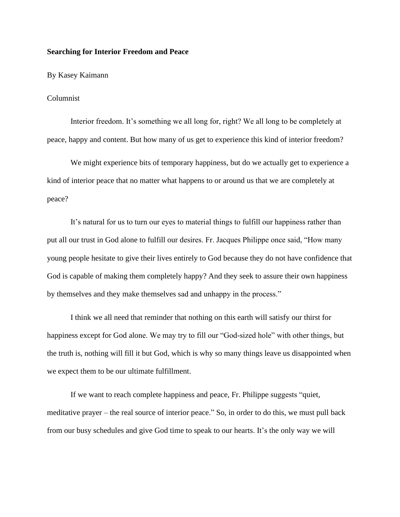## **Searching for Interior Freedom and Peace**

## By Kasey Kaimann

## Columnist

Interior freedom. It's something we all long for, right? We all long to be completely at peace, happy and content. But how many of us get to experience this kind of interior freedom?

We might experience bits of temporary happiness, but do we actually get to experience a kind of interior peace that no matter what happens to or around us that we are completely at peace?

It's natural for us to turn our eyes to material things to fulfill our happiness rather than put all our trust in God alone to fulfill our desires. Fr. Jacques Philippe once said, "How many young people hesitate to give their lives entirely to God because they do not have confidence that God is capable of making them completely happy? And they seek to assure their own happiness by themselves and they make themselves sad and unhappy in the process."

I think we all need that reminder that nothing on this earth will satisfy our thirst for happiness except for God alone. We may try to fill our "God-sized hole" with other things, but the truth is, nothing will fill it but God, which is why so many things leave us disappointed when we expect them to be our ultimate fulfillment.

If we want to reach complete happiness and peace, Fr. Philippe suggests "quiet, meditative prayer – the real source of interior peace." So, in order to do this, we must pull back from our busy schedules and give God time to speak to our hearts. It's the only way we will